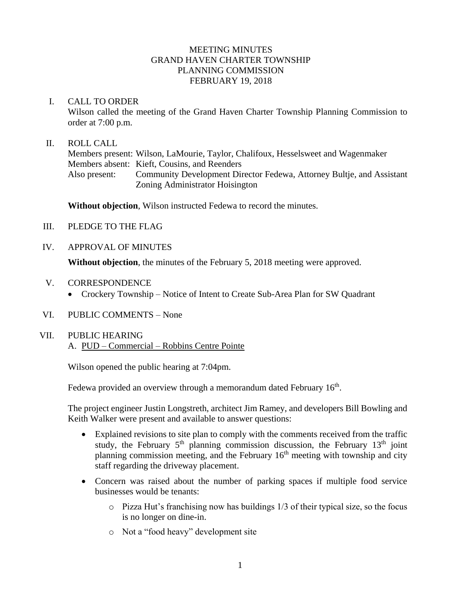# MEETING MINUTES GRAND HAVEN CHARTER TOWNSHIP PLANNING COMMISSION FEBRUARY 19, 2018

### I. CALL TO ORDER

Wilson called the meeting of the Grand Haven Charter Township Planning Commission to order at 7:00 p.m.

### II. ROLL CALL

Members present: Wilson, LaMourie, Taylor, Chalifoux, Hesselsweet and Wagenmaker Members absent: Kieft, Cousins, and Reenders Also present: Community Development Director Fedewa, Attorney Bultje, and Assistant Zoning Administrator Hoisington

**Without objection**, Wilson instructed Fedewa to record the minutes.

- III. PLEDGE TO THE FLAG
- IV. APPROVAL OF MINUTES

**Without objection**, the minutes of the February 5, 2018 meeting were approved.

- V. CORRESPONDENCE
	- Crockery Township Notice of Intent to Create Sub-Area Plan for SW Quadrant
- VI. PUBLIC COMMENTS None
- VII. PUBLIC HEARING A. PUD – Commercial – Robbins Centre Pointe

Wilson opened the public hearing at 7:04pm.

Fedewa provided an overview through a memorandum dated February 16<sup>th</sup>.

The project engineer Justin Longstreth, architect Jim Ramey, and developers Bill Bowling and Keith Walker were present and available to answer questions:

- Explained revisions to site plan to comply with the comments received from the traffic study, the February  $5<sup>th</sup>$  planning commission discussion, the February 13<sup>th</sup> joint planning commission meeting, and the February  $16<sup>th</sup>$  meeting with township and city staff regarding the driveway placement.
- Concern was raised about the number of parking spaces if multiple food service businesses would be tenants:
	- o Pizza Hut's franchising now has buildings 1/3 of their typical size, so the focus is no longer on dine-in.
	- o Not a "food heavy" development site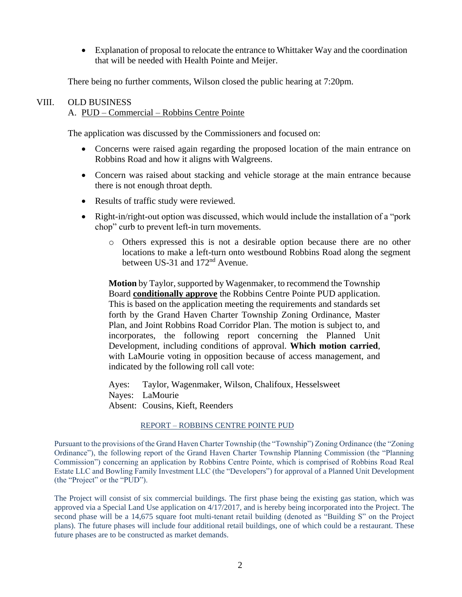• Explanation of proposal to relocate the entrance to Whittaker Way and the coordination that will be needed with Health Pointe and Meijer.

There being no further comments, Wilson closed the public hearing at 7:20pm.

### VIII. OLD BUSINESS

#### A. PUD – Commercial – Robbins Centre Pointe

The application was discussed by the Commissioners and focused on:

- Concerns were raised again regarding the proposed location of the main entrance on Robbins Road and how it aligns with Walgreens.
- Concern was raised about stacking and vehicle storage at the main entrance because there is not enough throat depth.
- Results of traffic study were reviewed.
- Right-in/right-out option was discussed, which would include the installation of a "pork" chop" curb to prevent left-in turn movements.
	- o Others expressed this is not a desirable option because there are no other locations to make a left-turn onto westbound Robbins Road along the segment between US-31 and 172<sup>nd</sup> Avenue.

**Motion** by Taylor, supported by Wagenmaker, to recommend the Township Board **conditionally approve** the Robbins Centre Pointe PUD application. This is based on the application meeting the requirements and standards set forth by the Grand Haven Charter Township Zoning Ordinance, Master Plan, and Joint Robbins Road Corridor Plan. The motion is subject to, and incorporates, the following report concerning the Planned Unit Development, including conditions of approval. **Which motion carried**, with LaMourie voting in opposition because of access management, and indicated by the following roll call vote:

Ayes: Taylor, Wagenmaker, Wilson, Chalifoux, Hesselsweet Nayes: LaMourie Absent: Cousins, Kieft, Reenders

#### REPORT – ROBBINS CENTRE POINTE PUD

Pursuant to the provisions of the Grand Haven Charter Township (the "Township") Zoning Ordinance (the "Zoning Ordinance"), the following report of the Grand Haven Charter Township Planning Commission (the "Planning Commission") concerning an application by Robbins Centre Pointe, which is comprised of Robbins Road Real Estate LLC and Bowling Family Investment LLC (the "Developers") for approval of a Planned Unit Development (the "Project" or the "PUD").

The Project will consist of six commercial buildings. The first phase being the existing gas station, which was approved via a Special Land Use application on 4/17/2017, and is hereby being incorporated into the Project. The second phase will be a 14,675 square foot multi-tenant retail building (denoted as "Building S" on the Project plans). The future phases will include four additional retail buildings, one of which could be a restaurant. These future phases are to be constructed as market demands.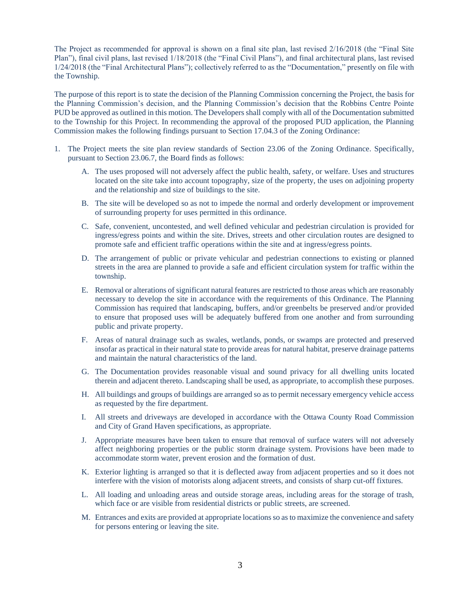The Project as recommended for approval is shown on a final site plan, last revised 2/16/2018 (the "Final Site Plan"), final civil plans, last revised 1/18/2018 (the "Final Civil Plans"), and final architectural plans, last revised 1/24/2018 (the "Final Architectural Plans"); collectively referred to as the "Documentation," presently on file with the Township.

The purpose of this report is to state the decision of the Planning Commission concerning the Project, the basis for the Planning Commission's decision, and the Planning Commission's decision that the Robbins Centre Pointe PUD be approved as outlined in this motion. The Developers shall comply with all of the Documentation submitted to the Township for this Project. In recommending the approval of the proposed PUD application, the Planning Commission makes the following findings pursuant to Section 17.04.3 of the Zoning Ordinance:

- 1. The Project meets the site plan review standards of Section 23.06 of the Zoning Ordinance. Specifically, pursuant to Section 23.06.7, the Board finds as follows:
	- A. The uses proposed will not adversely affect the public health, safety, or welfare. Uses and structures located on the site take into account topography, size of the property, the uses on adjoining property and the relationship and size of buildings to the site.
	- B. The site will be developed so as not to impede the normal and orderly development or improvement of surrounding property for uses permitted in this ordinance.
	- C. Safe, convenient, uncontested, and well defined vehicular and pedestrian circulation is provided for ingress/egress points and within the site. Drives, streets and other circulation routes are designed to promote safe and efficient traffic operations within the site and at ingress/egress points.
	- D. The arrangement of public or private vehicular and pedestrian connections to existing or planned streets in the area are planned to provide a safe and efficient circulation system for traffic within the township.
	- E. Removal or alterations of significant natural features are restricted to those areas which are reasonably necessary to develop the site in accordance with the requirements of this Ordinance. The Planning Commission has required that landscaping, buffers, and/or greenbelts be preserved and/or provided to ensure that proposed uses will be adequately buffered from one another and from surrounding public and private property.
	- F. Areas of natural drainage such as swales, wetlands, ponds, or swamps are protected and preserved insofar as practical in their natural state to provide areas for natural habitat, preserve drainage patterns and maintain the natural characteristics of the land.
	- G. The Documentation provides reasonable visual and sound privacy for all dwelling units located therein and adjacent thereto. Landscaping shall be used, as appropriate, to accomplish these purposes.
	- H. All buildings and groups of buildings are arranged so as to permit necessary emergency vehicle access as requested by the fire department.
	- I. All streets and driveways are developed in accordance with the Ottawa County Road Commission and City of Grand Haven specifications, as appropriate.
	- J. Appropriate measures have been taken to ensure that removal of surface waters will not adversely affect neighboring properties or the public storm drainage system. Provisions have been made to accommodate storm water, prevent erosion and the formation of dust.
	- K. Exterior lighting is arranged so that it is deflected away from adjacent properties and so it does not interfere with the vision of motorists along adjacent streets, and consists of sharp cut-off fixtures.
	- L. All loading and unloading areas and outside storage areas, including areas for the storage of trash, which face or are visible from residential districts or public streets, are screened.
	- M. Entrances and exits are provided at appropriate locations so as to maximize the convenience and safety for persons entering or leaving the site.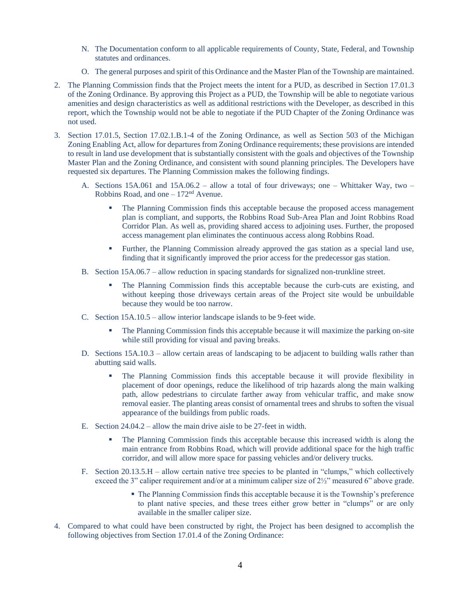- N. The Documentation conform to all applicable requirements of County, State, Federal, and Township statutes and ordinances.
- O. The general purposes and spirit of this Ordinance and the Master Plan of the Township are maintained.
- 2. The Planning Commission finds that the Project meets the intent for a PUD, as described in Section 17.01.3 of the Zoning Ordinance. By approving this Project as a PUD, the Township will be able to negotiate various amenities and design characteristics as well as additional restrictions with the Developer, as described in this report, which the Township would not be able to negotiate if the PUD Chapter of the Zoning Ordinance was not used.
- 3. Section 17.01.5, Section 17.02.1.B.1-4 of the Zoning Ordinance, as well as Section 503 of the Michigan Zoning Enabling Act, allow for departures from Zoning Ordinance requirements; these provisions are intended to result in land use development that is substantially consistent with the goals and objectives of the Township Master Plan and the Zoning Ordinance, and consistent with sound planning principles. The Developers have requested six departures. The Planning Commission makes the following findings.
	- A. Sections 15A.061 and 15A.06.2 allow a total of four driveways; one Whittaker Way, two Robbins Road, and one  $-172<sup>nd</sup>$  Avenue.
		- **•** The Planning Commission finds this acceptable because the proposed access management plan is compliant, and supports, the Robbins Road Sub-Area Plan and Joint Robbins Road Corridor Plan. As well as, providing shared access to adjoining uses. Further, the proposed access management plan eliminates the continuous access along Robbins Road.
		- Further, the Planning Commission already approved the gas station as a special land use, finding that it significantly improved the prior access for the predecessor gas station.
	- B. Section 15A.06.7 allow reduction in spacing standards for signalized non-trunkline street.
		- The Planning Commission finds this acceptable because the curb-cuts are existing, and without keeping those driveways certain areas of the Project site would be unbuildable because they would be too narrow.
	- C. Section 15A.10.5 allow interior landscape islands to be 9-feet wide.
		- The Planning Commission finds this acceptable because it will maximize the parking on-site while still providing for visual and paving breaks.
	- D. Sections 15A.10.3 allow certain areas of landscaping to be adjacent to building walls rather than abutting said walls.
		- The Planning Commission finds this acceptable because it will provide flexibility in placement of door openings, reduce the likelihood of trip hazards along the main walking path, allow pedestrians to circulate farther away from vehicular traffic, and make snow removal easier. The planting areas consist of ornamental trees and shrubs to soften the visual appearance of the buildings from public roads.
	- E. Section 24.04.2 allow the main drive aisle to be 27-feet in width.
		- The Planning Commission finds this acceptable because this increased width is along the main entrance from Robbins Road, which will provide additional space for the high traffic corridor, and will allow more space for passing vehicles and/or delivery trucks.
	- F. Section 20.13.5.H allow certain native tree species to be planted in "clumps," which collectively exceed the 3" caliper requirement and/or at a minimum caliper size of 2½" measured 6" above grade.
		- The Planning Commission finds this acceptable because it is the Township's preference to plant native species, and these trees either grow better in "clumps" or are only available in the smaller caliper size.
- 4. Compared to what could have been constructed by right, the Project has been designed to accomplish the following objectives from Section 17.01.4 of the Zoning Ordinance: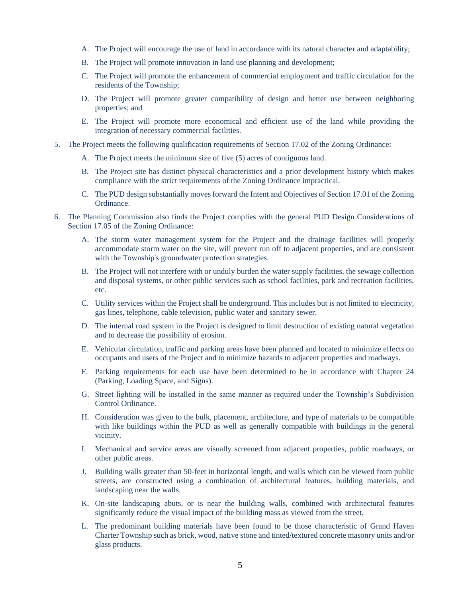- A. The Project will encourage the use of land in accordance with its natural character and adaptability;
- B. The Project will promote innovation in land use planning and development;
- C. The Project will promote the enhancement of commercial employment and traffic circulation for the residents of the Township;
- D. The Project will promote greater compatibility of design and better use between neighboring properties; and
- E. The Project will promote more economical and efficient use of the land while providing the integration of necessary commercial facilities.
- 5. The Project meets the following qualification requirements of Section 17.02 of the Zoning Ordinance:
	- A. The Project meets the minimum size of five (5) acres of contiguous land.
	- B. The Project site has distinct physical characteristics and a prior development history which makes compliance with the strict requirements of the Zoning Ordinance impractical.
	- C. The PUD design substantially moves forward the Intent and Objectives of Section 17.01 of the Zoning Ordinance.
- 6. The Planning Commission also finds the Project complies with the general PUD Design Considerations of Section 17.05 of the Zoning Ordinance:
	- A. The storm water management system for the Project and the drainage facilities will properly accommodate storm water on the site, will prevent run off to adjacent properties, and are consistent with the Township's groundwater protection strategies.
	- B. The Project will not interfere with or unduly burden the water supply facilities, the sewage collection and disposal systems, or other public services such as school facilities, park and recreation facilities, etc.
	- C. Utility services within the Project shall be underground. This includes but is not limited to electricity, gas lines, telephone, cable television, public water and sanitary sewer.
	- D. The internal road system in the Project is designed to limit destruction of existing natural vegetation and to decrease the possibility of erosion.
	- E. Vehicular circulation, traffic and parking areas have been planned and located to minimize effects on occupants and users of the Project and to minimize hazards to adjacent properties and roadways.
	- F. Parking requirements for each use have been determined to be in accordance with Chapter 24 (Parking, Loading Space, and Signs).
	- G. Street lighting will be installed in the same manner as required under the Township's Subdivision Control Ordinance.
	- H. Consideration was given to the bulk, placement, architecture, and type of materials to be compatible with like buildings within the PUD as well as generally compatible with buildings in the general vicinity.
	- I. Mechanical and service areas are visually screened from adjacent properties, public roadways, or other public areas.
	- J. Building walls greater than 50-feet in horizontal length, and walls which can be viewed from public streets, are constructed using a combination of architectural features, building materials, and landscaping near the walls.
	- K. On-site landscaping abuts, or is near the building walls, combined with architectural features significantly reduce the visual impact of the building mass as viewed from the street.
	- L. The predominant building materials have been found to be those characteristic of Grand Haven Charter Township such as brick, wood, native stone and tinted/textured concrete masonry units and/or glass products.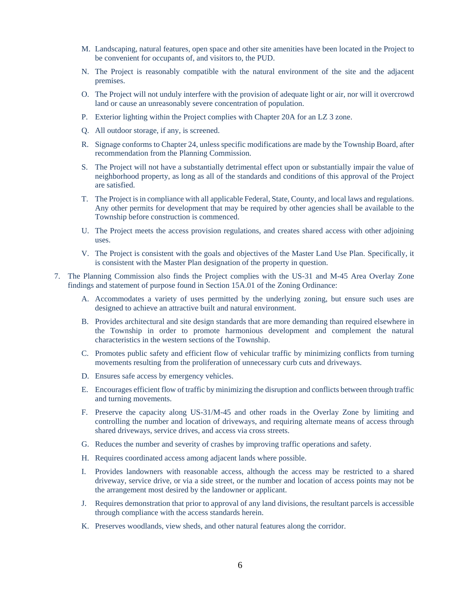- M. Landscaping, natural features, open space and other site amenities have been located in the Project to be convenient for occupants of, and visitors to, the PUD.
- N. The Project is reasonably compatible with the natural environment of the site and the adjacent premises.
- O. The Project will not unduly interfere with the provision of adequate light or air, nor will it overcrowd land or cause an unreasonably severe concentration of population.
- P. Exterior lighting within the Project complies with Chapter 20A for an LZ 3 zone.
- Q. All outdoor storage, if any, is screened.
- R. Signage conforms to Chapter 24, unless specific modifications are made by the Township Board, after recommendation from the Planning Commission.
- S. The Project will not have a substantially detrimental effect upon or substantially impair the value of neighborhood property, as long as all of the standards and conditions of this approval of the Project are satisfied.
- T. The Project is in compliance with all applicable Federal, State, County, and local laws and regulations. Any other permits for development that may be required by other agencies shall be available to the Township before construction is commenced.
- U. The Project meets the access provision regulations, and creates shared access with other adjoining uses.
- V. The Project is consistent with the goals and objectives of the Master Land Use Plan. Specifically, it is consistent with the Master Plan designation of the property in question.
- 7. The Planning Commission also finds the Project complies with the US-31 and M-45 Area Overlay Zone findings and statement of purpose found in Section 15A.01 of the Zoning Ordinance:
	- A. Accommodates a variety of uses permitted by the underlying zoning, but ensure such uses are designed to achieve an attractive built and natural environment.
	- B. Provides architectural and site design standards that are more demanding than required elsewhere in the Township in order to promote harmonious development and complement the natural characteristics in the western sections of the Township.
	- C. Promotes public safety and efficient flow of vehicular traffic by minimizing conflicts from turning movements resulting from the proliferation of unnecessary curb cuts and driveways.
	- D. Ensures safe access by emergency vehicles.
	- E. Encourages efficient flow of traffic by minimizing the disruption and conflicts between through traffic and turning movements.
	- F. Preserve the capacity along US-31/M-45 and other roads in the Overlay Zone by limiting and controlling the number and location of driveways, and requiring alternate means of access through shared driveways, service drives, and access via cross streets.
	- G. Reduces the number and severity of crashes by improving traffic operations and safety.
	- H. Requires coordinated access among adjacent lands where possible.
	- I. Provides landowners with reasonable access, although the access may be restricted to a shared driveway, service drive, or via a side street, or the number and location of access points may not be the arrangement most desired by the landowner or applicant.
	- J. Requires demonstration that prior to approval of any land divisions, the resultant parcels is accessible through compliance with the access standards herein.
	- K. Preserves woodlands, view sheds, and other natural features along the corridor.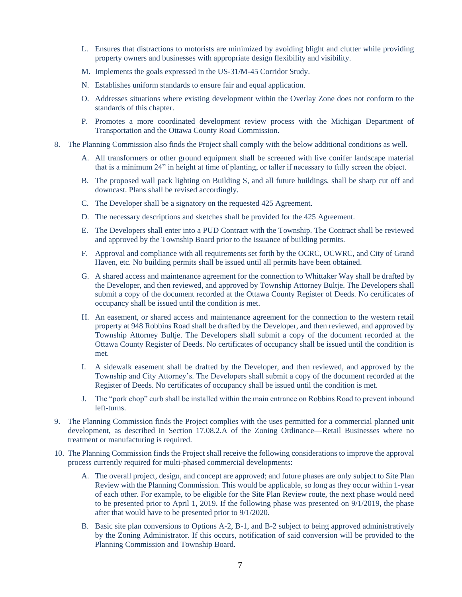- L. Ensures that distractions to motorists are minimized by avoiding blight and clutter while providing property owners and businesses with appropriate design flexibility and visibility.
- M. Implements the goals expressed in the US-31/M-45 Corridor Study.
- N. Establishes uniform standards to ensure fair and equal application.
- O. Addresses situations where existing development within the Overlay Zone does not conform to the standards of this chapter.
- P. Promotes a more coordinated development review process with the Michigan Department of Transportation and the Ottawa County Road Commission.
- 8. The Planning Commission also finds the Project shall comply with the below additional conditions as well.
	- A. All transformers or other ground equipment shall be screened with live conifer landscape material that is a minimum 24" in height at time of planting, or taller if necessary to fully screen the object.
	- B. The proposed wall pack lighting on Building S, and all future buildings, shall be sharp cut off and downcast. Plans shall be revised accordingly.
	- C. The Developer shall be a signatory on the requested 425 Agreement.
	- D. The necessary descriptions and sketches shall be provided for the 425 Agreement.
	- E. The Developers shall enter into a PUD Contract with the Township. The Contract shall be reviewed and approved by the Township Board prior to the issuance of building permits.
	- F. Approval and compliance with all requirements set forth by the OCRC, OCWRC, and City of Grand Haven, etc. No building permits shall be issued until all permits have been obtained.
	- G. A shared access and maintenance agreement for the connection to Whittaker Way shall be drafted by the Developer, and then reviewed, and approved by Township Attorney Bultje. The Developers shall submit a copy of the document recorded at the Ottawa County Register of Deeds. No certificates of occupancy shall be issued until the condition is met.
	- H. An easement, or shared access and maintenance agreement for the connection to the western retail property at 948 Robbins Road shall be drafted by the Developer, and then reviewed, and approved by Township Attorney Bultje. The Developers shall submit a copy of the document recorded at the Ottawa County Register of Deeds. No certificates of occupancy shall be issued until the condition is met.
	- I. A sidewalk easement shall be drafted by the Developer, and then reviewed, and approved by the Township and City Attorney's. The Developers shall submit a copy of the document recorded at the Register of Deeds. No certificates of occupancy shall be issued until the condition is met.
	- J. The "pork chop" curb shall be installed within the main entrance on Robbins Road to prevent inbound left-turns.
- 9. The Planning Commission finds the Project complies with the uses permitted for a commercial planned unit development, as described in Section 17.08.2.A of the Zoning Ordinance—Retail Businesses where no treatment or manufacturing is required.
- 10. The Planning Commission finds the Project shall receive the following considerations to improve the approval process currently required for multi-phased commercial developments:
	- A. The overall project, design, and concept are approved; and future phases are only subject to Site Plan Review with the Planning Commission. This would be applicable, so long as they occur within 1-year of each other. For example, to be eligible for the Site Plan Review route, the next phase would need to be presented prior to April 1, 2019. If the following phase was presented on 9/1/2019, the phase after that would have to be presented prior to 9/1/2020.
	- B. Basic site plan conversions to Options A-2, B-1, and B-2 subject to being approved administratively by the Zoning Administrator. If this occurs, notification of said conversion will be provided to the Planning Commission and Township Board.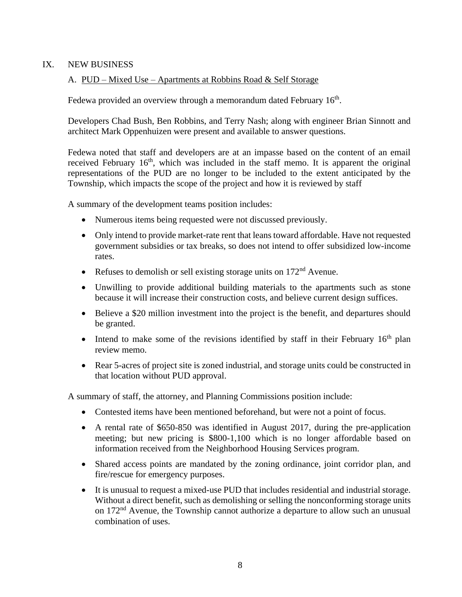# IX. NEW BUSINESS

# A. PUD – Mixed Use – Apartments at Robbins Road & Self Storage

Fedewa provided an overview through a memorandum dated February 16<sup>th</sup>.

Developers Chad Bush, Ben Robbins, and Terry Nash; along with engineer Brian Sinnott and architect Mark Oppenhuizen were present and available to answer questions.

Fedewa noted that staff and developers are at an impasse based on the content of an email received February  $16<sup>th</sup>$ , which was included in the staff memo. It is apparent the original representations of the PUD are no longer to be included to the extent anticipated by the Township, which impacts the scope of the project and how it is reviewed by staff

A summary of the development teams position includes:

- Numerous items being requested were not discussed previously.
- Only intend to provide market-rate rent that leans toward affordable. Have not requested government subsidies or tax breaks, so does not intend to offer subsidized low-income rates.
- Refuses to demolish or sell existing storage units on  $172<sup>nd</sup>$  Avenue.
- Unwilling to provide additional building materials to the apartments such as stone because it will increase their construction costs, and believe current design suffices.
- Believe a \$20 million investment into the project is the benefit, and departures should be granted.
- Intend to make some of the revisions identified by staff in their February  $16<sup>th</sup>$  plan review memo.
- Rear 5-acres of project site is zoned industrial, and storage units could be constructed in that location without PUD approval.

A summary of staff, the attorney, and Planning Commissions position include:

- Contested items have been mentioned beforehand, but were not a point of focus.
- A rental rate of \$650-850 was identified in August 2017, during the pre-application meeting; but new pricing is \$800-1,100 which is no longer affordable based on information received from the Neighborhood Housing Services program.
- Shared access points are mandated by the zoning ordinance, joint corridor plan, and fire/rescue for emergency purposes.
- It is unusual to request a mixed-use PUD that includes residential and industrial storage. Without a direct benefit, such as demolishing or selling the nonconforming storage units on 172nd Avenue, the Township cannot authorize a departure to allow such an unusual combination of uses.